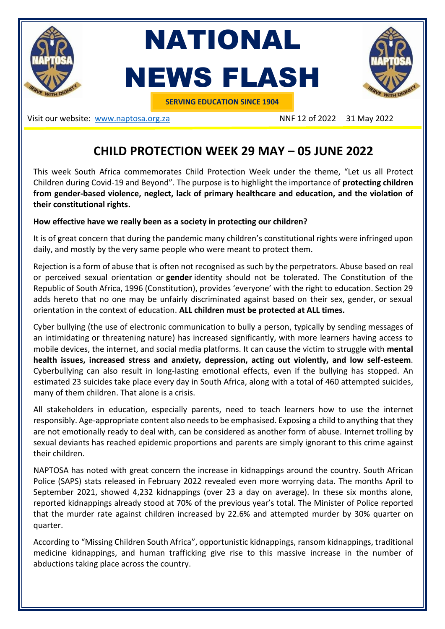

NATIONAL NEWS FLASH



**SERVING EDUCATION SINCE 1904**

Visit our website: [www.naptosa.org.za](http://www.naptosa.org.za/) NNF 12 of 2022 31 May 2022

## **CHILD PROTECTION WEEK 29 MAY – 05 JUNE 2022**

This week South Africa commemorates Child Protection Week under the theme, "Let us all Protect Children during Covid-19 and Beyond". The purpose is to highlight the importance of **protecting children from gender-based violence, neglect, lack of primary healthcare and education, and the violation of their constitutional rights.**

## **How effective have we really been as a society in protecting our children?**

It is of great concern that during the pandemic many children's constitutional rights were infringed upon daily, and mostly by the very same people who were meant to protect them.

Rejection is a form of abuse that is often not recognised as such by the perpetrators. Abuse based on real or perceived sexual orientation or **gender** identity should not be tolerated. The Constitution of the Republic of South Africa, 1996 (Constitution), provides 'everyone' with the right to education. Section 29 adds hereto that no one may be unfairly discriminated against based on their sex, gender, or sexual orientation in the context of education. **ALL children must be protected at ALL times.**

Cyber bullying (the use of electronic communication to bully a person, typically by sending messages of an intimidating or threatening nature) has increased significantly, with more learners having access to mobile devices, the internet, and social media platforms. It can cause the victim to struggle with **mental health issues, increased stress and anxiety, depression, acting out violently, and low self-esteem**. Cyberbullying can also result in long-lasting emotional effects, even if the bullying has stopped. An estimated 23 suicides take place every day in South Africa, along with a total of 460 attempted suicides, many of them children. That alone is a crisis.

All stakeholders in education, especially parents, need to teach learners how to use the internet responsibly. Age-appropriate content also needs to be emphasised. Exposing a child to anything that they are not emotionally ready to deal with, can be considered as another form of abuse. Internet trolling by sexual deviants has reached epidemic proportions and parents are simply ignorant to this crime against their children.

NAPTOSA has noted with great concern the increase in kidnappings around the country. South African Police (SAPS) stats released in February 2022 revealed even more worrying data. The months April to September 2021, showed 4,232 kidnappings (over 23 a day on average). In these six months alone, reported kidnappings already stood at 70% of the previous year's total. The Minister of Police reported that the murder rate against children increased by 22.6% and attempted murder by 30% quarter on quarter.

According to "Missing Children South Africa", opportunistic kidnappings, ransom kidnappings, traditional medicine kidnappings, and human trafficking give rise to this massive increase in the number of abductions taking place across the country.